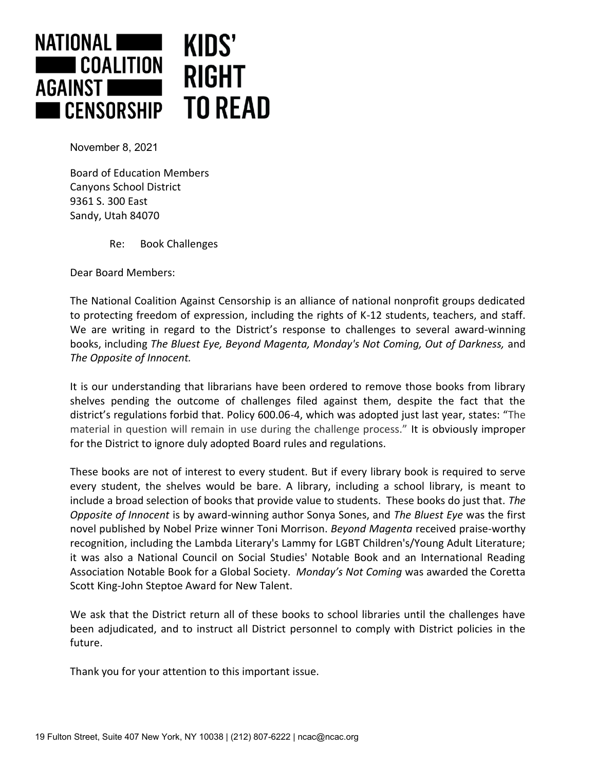

November 8, 2021

Board of Education Members Canyons School District 9361 S. 300 East Sandy, Utah 84070

Re: Book Challenges

Dear Board Members:

The National Coalition Against Censorship is an alliance of national nonprofit groups dedicated to protecting freedom of expression, including the rights of K-12 students, teachers, and staff. We are writing in regard to the District's response to challenges to several award-winning books, including *The Bluest Eye, Beyond Magenta, Monday's Not Coming, Out of Darkness,* and *The Opposite of Innocent.*

It is our understanding that librarians have been ordered to remove those books from library shelves pending the outcome of challenges filed against them, despite the fact that the district's regulations forbid that. Policy 600.06-4, which was adopted just last year, states: "The material in question will remain in use during the challenge process." It is obviously improper for the District to ignore duly adopted Board rules and regulations.

These books are not of interest to every student. But if every library book is required to serve every student, the shelves would be bare. A library, including a school library, is meant to include a broad selection of books that provide value to students. These books do just that. *The Opposite of Innocent* is by award-winning author Sonya Sones, and *The Bluest Eye* was the first novel published by Nobel Prize winner Toni Morrison. *Beyond Magenta* received praise-worthy recognition, including the Lambda Literary's Lammy for LGBT Children's/Young Adult Literature; it was also a National Council on Social Studies' Notable Book and an International Reading Association Notable Book for a Global Society. *Monday's Not Coming* was awarded the Coretta Scott King-John Steptoe Award for New Talent.

We ask that the District return all of these books to school libraries until the challenges have been adjudicated, and to instruct all District personnel to comply with District policies in the future.

Thank you for your attention to this important issue.